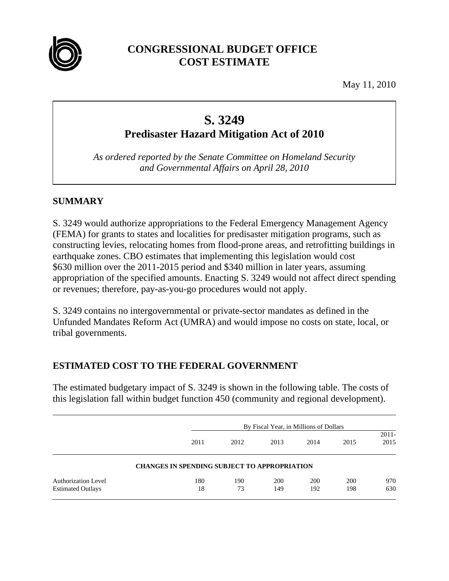

## **CONGRESSIONAL BUDGET OFFICE COST ESTIMATE**

May 11, 2010

# **S. 3249 Predisaster Hazard Mitigation Act of 2010**

*As ordered reported by the Senate Committee on Homeland Security and Governmental Affairs on April 28, 2010* 

#### **SUMMARY**

S. 3249 would authorize appropriations to the Federal Emergency Management Agency (FEMA) for grants to states and localities for predisaster mitigation programs, such as constructing levies, relocating homes from flood-prone areas, and retrofitting buildings in earthquake zones. CBO estimates that implementing this legislation would cost \$630 million over the 2011-2015 period and \$340 million in later years, assuming appropriation of the specified amounts. Enacting S. 3249 would not affect direct spending or revenues; therefore, pay-as-you-go procedures would not apply.

S. 3249 contains no intergovernmental or private-sector mandates as defined in the Unfunded Mandates Reform Act (UMRA) and would impose no costs on state, local, or tribal governments.

#### **ESTIMATED COST TO THE FEDERAL GOVERNMENT**

The estimated budgetary impact of S. 3249 is shown in the following table. The costs of this legislation fall within budget function 450 (community and regional development).

|                            |                                                     | By Fiscal Year, in Millions of Dollars |      |      |      |                  |  |
|----------------------------|-----------------------------------------------------|----------------------------------------|------|------|------|------------------|--|
|                            | 2011                                                | 2012                                   | 2013 | 2014 | 2015 | $2011 -$<br>2015 |  |
|                            | <b>CHANGES IN SPENDING SUBJECT TO APPROPRIATION</b> |                                        |      |      |      |                  |  |
| <b>Authorization Level</b> | 180                                                 | 190                                    | 200  | 200  | 200  | 970              |  |
| <b>Estimated Outlays</b>   | 18                                                  | 73                                     | 149  | 192  | 198  | 630              |  |